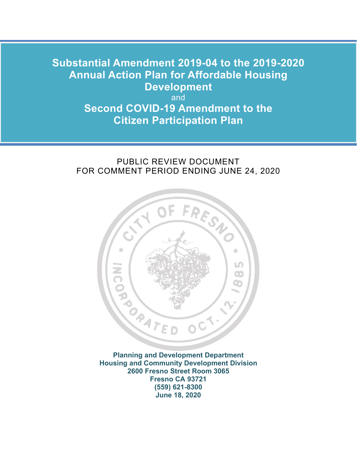### **Annual Action Plan for Affordable Housing Substantial Amendment 2019-04 to the 2019-2020 Development**

and **Second COVID-19 Amendment to the Citizen Participation Plan** 

### PUBLIC REVIEW DOCUMENT FOR COMMENT PERIOD ENDING JUNE 24, 2020



 **2600 Fresno Street Room 3065 Planning and Development Department Housing and Community Development Division Fresno CA 93721 (559) 621-8300 June 18, 2020**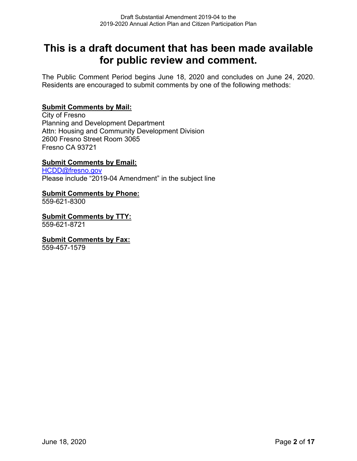### **This is a draft document that has been made available for public review and comment.**

The Public Comment Period begins June 18, 2020 and concludes on June 24, 2020. Residents are encouraged to submit comments by one of the following methods:

### **Submit Comments by Mail:**

City of Fresno Planning and Development Department Attn: Housing and Community Development Division 2600 Fresno Street Room 3065 Fresno CA 93721

### **Submit Comments by Email:**

[HCDD@fresno.gov](mailto:HCDD@fresno.gov)  Please include "2019-04 Amendment" in the subject line

### **Submit Comments by Phone:**

559-621-8300

**Submit Comments by TTY:** 559-621-8721

### **Submit Comments by Fax:**

559-457-1579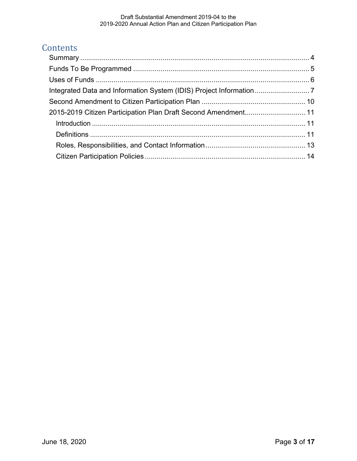### **Contents**

| 2015-2019 Citizen Participation Plan Draft Second Amendment 11 |  |
|----------------------------------------------------------------|--|
|                                                                |  |
|                                                                |  |
|                                                                |  |
|                                                                |  |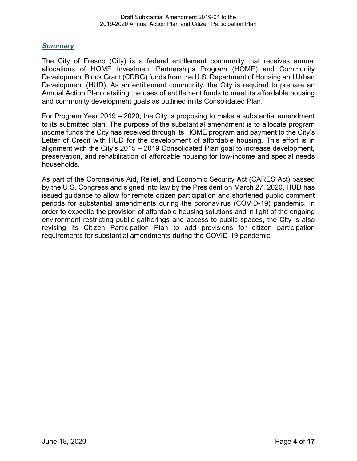### <span id="page-3-0"></span>*Summary*

 Development Block Grant (CDBG) funds from the U.S. Department of Housing and Urban The City of Fresno (City) is a federal entitlement community that receives annual allocations of HOME Investment Partnerships Program (HOME) and Community Development (HUD). As an entitlement community, the City is required to prepare an Annual Action Plan detailing the uses of entitlement funds to meet its affordable housing and community development goals as outlined in its Consolidated Plan.

 For Program Year 2019 – 2020, the City is proposing to make a substantial amendment to its submitted plan. The purpose of the substantial amendment is to allocate program income funds the City has received through its HOME program and payment to the City's Letter of Credit with HUD for the development of affordable housing. This effort is in alignment with the City's 2015 – 2019 Consolidated Plan goal to increase development, preservation, and rehabilitation of affordable housing for low-income and special needs households.

 As part of the Coronavirus Aid, Relief, and Economic Security Act (CARES Act) passed by the U.S. Congress and signed into law by the President on March 27, 2020, HUD has issued guidance to allow for remote citizen participation and shortened public comment periods for substantial amendments during the coronavirus (COVID-19) pandemic. In order to expedite the provision of affordable housing solutions and in light of the ongoing environment restricting public gatherings and access to public spaces, the City is also revising its Citizen Participation Plan to add provisions for citizen participation requirements for substantial amendments during the COVID-19 pandemic.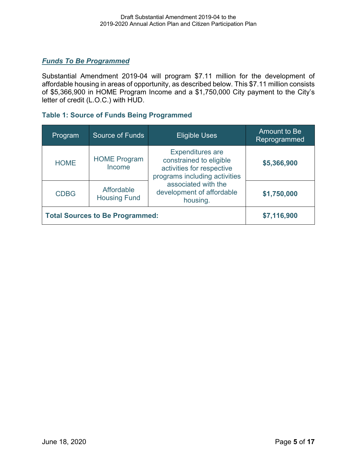### <span id="page-4-0"></span>*Funds To Be Programmed*

 letter of credit (L.O.C.) with HUD. Substantial Amendment 2019-04 will program \$7.11 million for the development of affordable housing in areas of opportunity, as described below. This \$7.11 million consists of \$5,366,900 in HOME Program Income and a \$1,750,000 City payment to the City's

### **Table 1: Source of Funds Being Programmed**

| Program                                | <b>Source of Funds</b>            | <b>Eligible Uses</b>                                                                                             | Amount to Be<br>Reprogrammed |
|----------------------------------------|-----------------------------------|------------------------------------------------------------------------------------------------------------------|------------------------------|
| <b>HOME</b>                            | <b>HOME Program</b><br>Income     | <b>Expenditures are</b><br>constrained to eligible<br>activities for respective<br>programs including activities | \$5,366,900                  |
| <b>CDBG</b>                            | Affordable<br><b>Housing Fund</b> | associated with the<br>development of affordable<br>housing.                                                     | \$1,750,000                  |
| <b>Total Sources to Be Programmed:</b> |                                   |                                                                                                                  | \$7,116,900                  |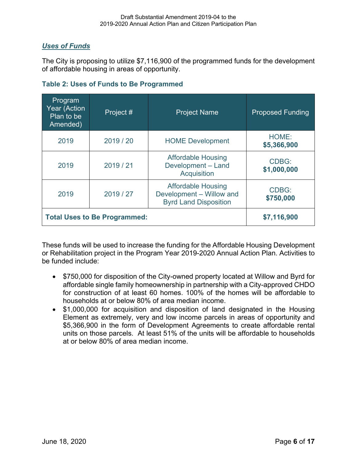### <span id="page-5-0"></span> *Uses of Funds*

The City is proposing to utilize \$7,116,900 of the programmed funds for the development of affordable housing in areas of opportunity.

| <b>Table 2: Uses of Funds to Be Programmed</b> |  |  |  |  |  |
|------------------------------------------------|--|--|--|--|--|
|------------------------------------------------|--|--|--|--|--|

| Program<br><b>Year (Action</b><br>Plan to be<br>Amended) | Project # | <b>Project Name</b>                                                                   | <b>Proposed Funding</b>     |
|----------------------------------------------------------|-----------|---------------------------------------------------------------------------------------|-----------------------------|
| 2019                                                     | 2019 / 20 | <b>HOME Development</b>                                                               | HOME:<br>\$5,366,900        |
| 2019                                                     | 2019 / 21 | <b>Affordable Housing</b><br>Development - Land<br><b>Acquisition</b>                 | <b>CDBG:</b><br>\$1,000,000 |
| 2019                                                     | 2019 / 27 | <b>Affordable Housing</b><br>Development - Willow and<br><b>Byrd Land Disposition</b> | CDBG:<br>\$750,000          |
| <b>Total Uses to Be Programmed:</b>                      |           |                                                                                       | \$7,116,900                 |

These funds will be used to increase the funding for the Affordable Housing Development or Rehabilitation project in the Program Year 2019-2020 Annual Action Plan. Activities to be funded include:

- for construction of at least 60 homes. 100% of the homes will be affordable to households at or below 80% of area median income. • \$750,000 for disposition of the City-owned property located at Willow and Byrd for affordable single family homeownership in partnership with a City-approved CHDO
- units on those parcels. At least 51% of the units will be affordable to households • \$1,000,000 for acquisition and disposition of land designated in the Housing Element as extremely, very and low income parcels in areas of opportunity and \$5,366,900 in the form of Development Agreements to create affordable rental at or below 80% of area median income.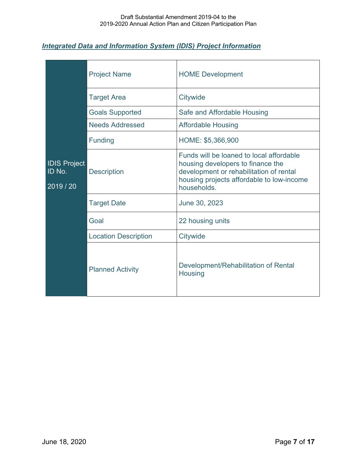### <span id="page-6-0"></span> *Integrated Data and Information System (IDIS) Project Information*

|                                          | <b>Project Name</b>         | <b>HOME Development</b>                                                                                                                                                              |
|------------------------------------------|-----------------------------|--------------------------------------------------------------------------------------------------------------------------------------------------------------------------------------|
|                                          | <b>Target Area</b>          | Citywide                                                                                                                                                                             |
|                                          | <b>Goals Supported</b>      | Safe and Affordable Housing                                                                                                                                                          |
|                                          | <b>Needs Addressed</b>      | <b>Affordable Housing</b>                                                                                                                                                            |
| <b>IDIS Project</b><br>ID No.<br>2019/20 | <b>Funding</b>              | HOME: \$5,366,900                                                                                                                                                                    |
|                                          | <b>Description</b>          | Funds will be loaned to local affordable<br>housing developers to finance the<br>development or rehabilitation of rental<br>housing projects affordable to low-income<br>households. |
|                                          | <b>Target Date</b>          | June 30, 2023                                                                                                                                                                        |
|                                          | Goal                        | 22 housing units                                                                                                                                                                     |
|                                          | <b>Location Description</b> | Citywide                                                                                                                                                                             |
|                                          | <b>Planned Activity</b>     | Development/Rehabilitation of Rental<br>Housing                                                                                                                                      |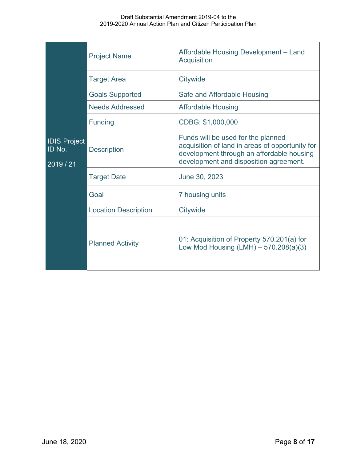|                                            | <b>Project Name</b>         | Affordable Housing Development - Land<br><b>Acquisition</b>                                                                                                                  |
|--------------------------------------------|-----------------------------|------------------------------------------------------------------------------------------------------------------------------------------------------------------------------|
| <b>IDIS Project</b><br>ID No.<br>2019 / 21 | <b>Target Area</b>          | Citywide                                                                                                                                                                     |
|                                            | <b>Goals Supported</b>      | Safe and Affordable Housing                                                                                                                                                  |
|                                            | <b>Needs Addressed</b>      | <b>Affordable Housing</b>                                                                                                                                                    |
|                                            | <b>Funding</b>              | CDBG: \$1,000,000                                                                                                                                                            |
|                                            | <b>Description</b>          | Funds will be used for the planned<br>acquisition of land in areas of opportunity for<br>development through an affordable housing<br>development and disposition agreement. |
|                                            | <b>Target Date</b>          | June 30, 2023                                                                                                                                                                |
|                                            | Goal                        | 7 housing units                                                                                                                                                              |
|                                            | <b>Location Description</b> | Citywide                                                                                                                                                                     |
|                                            | <b>Planned Activity</b>     | 01: Acquisition of Property 570.201(a) for<br>Low Mod Housing $(LMH) - 570.208(a)(3)$                                                                                        |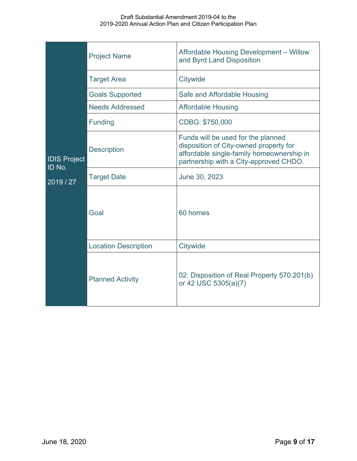|                                          | <b>Project Name</b>         | Affordable Housing Development - Willow<br>and Byrd Land Disposition                                                                                                |  |
|------------------------------------------|-----------------------------|---------------------------------------------------------------------------------------------------------------------------------------------------------------------|--|
| <b>IDIS Project</b><br>ID No.<br>2019/27 | <b>Target Area</b>          | Citywide                                                                                                                                                            |  |
|                                          | <b>Goals Supported</b>      | Safe and Affordable Housing                                                                                                                                         |  |
|                                          | <b>Needs Addressed</b>      | <b>Affordable Housing</b>                                                                                                                                           |  |
|                                          | Funding                     | CDBG: \$750,000                                                                                                                                                     |  |
|                                          | <b>Description</b>          | Funds will be used for the planned<br>disposition of City-owned property for<br>affordable single-family homeownership in<br>partnership with a City-approved CHDO. |  |
|                                          | <b>Target Date</b>          | June 30, 2023                                                                                                                                                       |  |
|                                          | Goal                        | 60 homes                                                                                                                                                            |  |
|                                          | <b>Location Description</b> | Citywide                                                                                                                                                            |  |
|                                          | <b>Planned Activity</b>     | 02: Disposition of Real Property 570.201(b)<br>or 42 USC 5305(a)(7)                                                                                                 |  |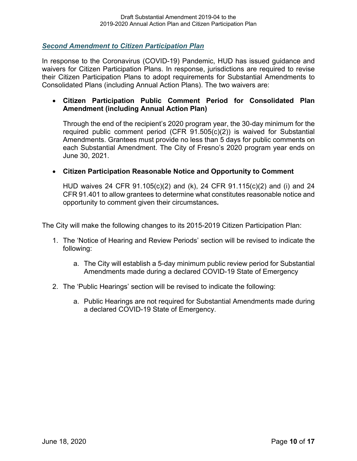<span id="page-9-0"></span>*Second Amendment to Citizen Participation Plan* 

In response to the Coronavirus (COVID-19) Pandemic, HUD has issued guidance and waivers for Citizen Participation Plans. In response, jurisdictions are required to revise their Citizen Participation Plans to adopt requirements for Substantial Amendments to Consolidated Plans (including Annual Action Plans). The two waivers are:

### • **Citizen Participation Public Comment Period for Consolidated Plan Amendment (including Annual Action Plan)**

 Through the end of the recipient's 2020 program year, the 30-day minimum for the required public comment period (CFR 91.505(c)(2)) is waived for Substantial Amendments. Grantees must provide no less than 5 days for public comments on each Substantial Amendment. The City of Fresno's 2020 program year ends on June 30, 2021.

### • **Citizen Participation Reasonable Notice and Opportunity to Comment**

HUD waives 24 CFR 91.105(c)(2) and (k), 24 CFR 91.115(c)(2) and (i) and 24 CFR 91.401 to allow grantees to determine what constitutes reasonable notice and opportunity to comment given their circumstances*.* 

The City will make the following changes to its 2015-2019 Citizen Participation Plan:

- 1. The 'Notice of Hearing and Review Periods' section will be revised to indicate the following:
	- Amendments made during a declared COVID-19 State of Emergency a. The City will establish a 5-day minimum public review period for Substantial
- Amendments made during a declared COVID-19 State of Emergency 2. The 'Public Hearings' section will be revised to indicate the following:
	- a. Public Hearings are not required for Substantial Amendments made during a declared COVID-19 State of Emergency.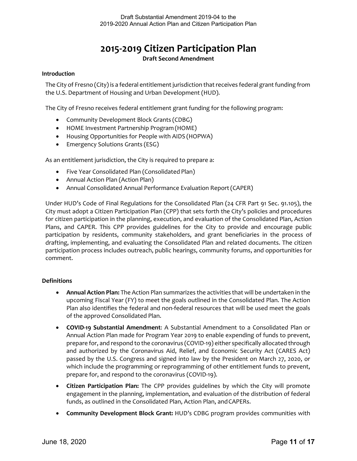## **2015-2019 Citizen Participation Plan**

### **Draft Second Amendment**

### <span id="page-10-1"></span><span id="page-10-0"></span>**Introduction**

 The City of Fresno (City) is a federal entitlement jurisdiction that receives federal grant funding from the U.S. Department of Housing and Urban Development (HUD).

The City of Fresno receives federal entitlement grant funding for the following program:

- Community Development Block Grants (CDBG)
- HOME Investment Partnership Program (HOME)
- Housing Opportunities for People with AIDS (HOPWA)
- Emergency Solutions Grants (ESG)

As an entitlement jurisdiction, the City is required to prepare a:

- Five Year Consolidated Plan (Consolidated Plan)
- Annual Action Plan (Action Plan)
- Annual Consolidated Annual Performance Evaluation Report (CAPER)

 City must adopt a Citizen Participation Plan (CPP) that sets forth the City's policies and procedures for citizen participation in the planning, execution, and evaluation of the Consolidated Plan, Action Under HUD's Code of Final Regulations for the Consolidated Plan (24 CFR Part 91 Sec. 91.105), the Plans, and CAPER. This CPP provides guidelines for the City to provide and encourage public participation by residents, community stakeholders, and grant beneficiaries in the process of drafting, implementing, and evaluating the Consolidated Plan and related documents. The citizen participation process includes outreach, public hearings, community forums, and opportunities for comment.

### <span id="page-10-2"></span>**Definitions**

- • **Annual Action Plan:** The Action Plan summarizes the activities that will be undertaken in the upcoming Fiscal Year (FY) to meet the goals outlined in the Consolidated Plan. The Action Plan also identifies the federal and non-federal resources that will be used meet the goals of the approved Consolidated Plan.
- Annual Action Plan made for Program Year 2019 to enable expending of funds to prevent, prepare for, and respond to the coronavirus (COVID-19) either specifically allocated through and authorized by the Coronavirus Aid, Relief, and Economic Security Act (CARES Act) which include the programming or reprogramming of other entitlement funds to prevent, • **COVID-19 Substantial Amendment**: A Substantial Amendment to a Consolidated Plan or passed by the U.S. Congress and signed into law by the President on March 27, 2020, or prepare for, and respond to the coronavirus (COVID-19).
- engagement in the planning, implementation, and evaluation of the distribution of federal funds, as outlined in the Consolidated Plan, Action Plan, and CAPERs. • **Citizen Participation Plan:** The CPP provides guidelines by which the City will promote
- **Community Development Block Grant:** HUD's CDBG program provides communities with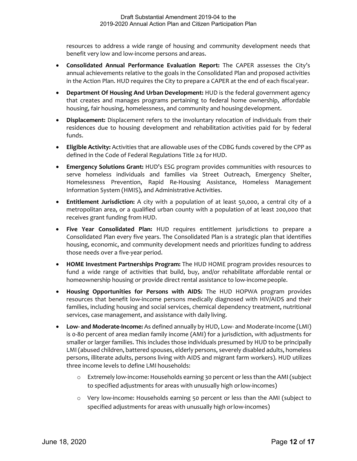benefit very low and low-income persons and areas. resources to address a wide range of housing and community development needs that

- **Consolidated Annual Performance Evaluation Report:** The CAPER assesses the City's in the Action Plan. HUD requires the City to prepare a CAPER at the end of each fiscal year. annual achievements relative to the goals in the Consolidated Plan and proposed activities
- **Department Of Housing And Urban Development:** HUD is the federal government agency that creates and manages programs pertaining to federal home ownership, affordable housing, fair housing, homelessness, and community and housing development.
- • **Displacement:** Displacement refers to the involuntary relocation of individuals from their residences due to housing development and rehabilitation activities paid for by federal funds.
- • **Eligible Activity:** Activities that are allowable uses of the CDBG funds covered by the CPP as defined in the Code of Federal Regulations Title 24 for HUD.
- Information System (HMIS), and Administrative Activities. • **Emergency Solutions Grant:** HUD's ESG program provides communities with resources to serve homeless individuals and families via Street Outreach, Emergency Shelter, Homelessness Prevention, Rapid Re-Housing Assistance, Homeless Management
- • **Entitlement Jurisdiction:** A city with a population of at least 50,000, a central city of a metropolitan area, or a qualified urban county with a population of at least 200,000 that receives grant funding from HUD.
- those needs over a five-year period. • **Five Year Consolidated Plan:** HUD requires entitlement jurisdictions to prepare a Consolidated Plan every five years. The Consolidated Plan is a strategic plan that identifies housing, economic, and community development needs and prioritizes funding to address
- **HOME Investment Partnerships Program:** The HUD HOME program provides resources to homeownership housing or provide direct rental assistance to low-income people. fund a wide range of activities that build, buy, and/or rehabilitate affordable rental or
- **Housing Opportunities for Persons with AIDS:** The HUD HOPWA program provides resources that benefit low-income persons medically diagnosed with HIV/AIDS and their families, including housing and social services, chemical dependency treatment, nutritional services, case management, and assistance with daily living.
- LMI (abused children, battered spouses, elderly persons, severely disabled adults, homeless persons, illiterate adults, persons living with AIDS and migrant farm workers). HUD utilizes • **Low- and Moderate-Income:** As defined annually by HUD, Low- and Moderate-Income (LMI) is 0-80 percent of area median family income (AMI) for a jurisdiction, with adjustments for smaller or larger families. This includes those individuals presumed by HUD to be principally three income levels to define LMI households:
	- o Extremely low-income: Households earning 30 percent or less than the AMI (subject to specified adjustments for areas with unusually high or low-incomes)
	- specified adjustments for areas with unusually high or low-incomes) o Very low-income: Households earning 50 percent or less than the AMI (subject to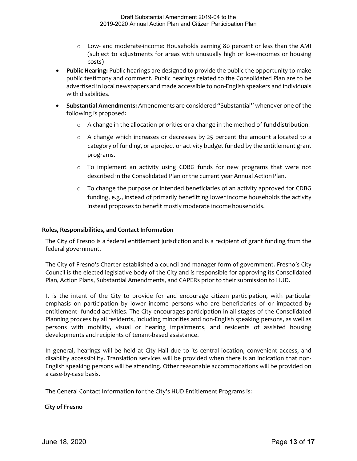- (subject to adjustments for areas with unusually high or low-incomes or housing o Low- and moderate-income: Households earning 80 percent or less than the AMI costs)
- advertised in local newspapers and made accessible to non-English speakers and individuals with disabilities. • **Public Hearing:** Public hearings are designed to provide the public the opportunity to make public testimony and comment. Public hearings related to the Consolidated Plan are to be
- following is proposed: • **Substantial Amendments:** Amendments are considered "Substantial" whenever one of the
	- o A change in the allocation priorities or a change in the method of fund distribution.
	- o A change which increases or decreases by 25 percent the amount allocated to a category of funding, or a project or activity budget funded by the entitlement grant programs.
	- o To implement an activity using CDBG funds for new programs that were not described in the Consolidated Plan or the current year Annual Action Plan.
	- o To change the purpose or intended beneficiaries of an activity approved for CDBG funding, e.g., instead of primarily benefitting lower income households the activity instead proposes to benefit mostly moderate income households.

### <span id="page-12-0"></span>**Roles, Responsibilities, and Contact Information**

 The City of Fresno is a federal entitlement jurisdiction and is a recipient of grant funding from the federal government.

 The City of Fresno's Charter established a council and manager form of government. Fresno's City Council is the elected legislative body of the City and is responsible for approving its Consolidated Plan, Action Plans, Substantial Amendments, and CAPERs prior to their submission to HUD.

 Planning process by all residents, including minorities and non-English speaking persons, as well as persons with mobility, visual or hearing impairments, and residents of assisted housing It is the intent of the City to provide for and encourage citizen participation, with particular emphasis on participation by lower income persons who are beneficiaries of or impacted by entitlement- funded activities. The City encourages participation in all stages of the Consolidated developments and recipients of tenant-based assistance.

 In general, hearings will be held at City Hall due to its central location, convenient access, and disability accessibility. Translation services will be provided when there is an indication that non-English speaking persons will be attending. Other reasonable accommodations will be provided on a case-by-case basis.

The General Contact Information for the City's HUD Entitlement Programs is:

### **City of Fresno**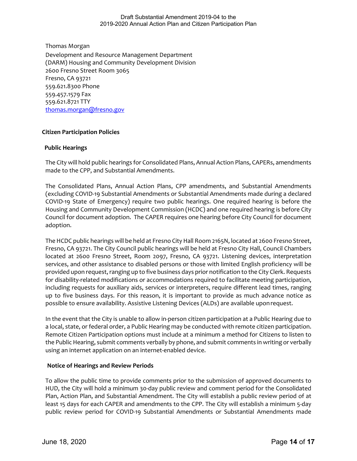Thomas Morgan

 559.621.8300 Phone 559.457.1579 Fax Development and Resource Management Department (DARM) Housing and Community Development Division 2600 Fresno Street Room 3065 Fresno, CA 93721 559.621.8721 TTY [thomas.morgan@fresno.gov](mailto:crystal.smith@fresno.gov) 

# <span id="page-13-0"></span> **Citizen Participation Policies Public Hearings**

 The City will hold public hearings for Consolidated Plans, Annual Action Plans, CAPERs, amendments made to the CPP, and Substantial Amendments.

 COVID-19 State of Emergency) require two public hearings. One required hearing is before the Housing and Community Development Commission (HCDC) and one required hearing is before City Council for document adoption. The CAPER requires one hearing before City Council for document The Consolidated Plans, Annual Action Plans, CPP amendments, and Substantial Amendments (excluding COVID-19 Substantial Amendments or Substantial Amendments made during a declared adoption.

 provided upon request, ranging up to five business days prior notification to the City Clerk. Requests possible to ensure availability. Assistive Listening Devices (ALDs) are available upon request. The HCDC public hearings will be held at Fresno City Hall Room 2165N, located at 2600 Fresno Street, Fresno, CA 93721. The City Council public hearings will be held at Fresno City Hall, Council Chambers located at 2600 Fresno Street, Room 2097, Fresno, CA 93721. Listening devices, interpretation services, and other assistance to disabled persons or those with limited English proficiency will be for disability-related modifications or accommodations required to facilitate meeting participation, including requests for auxiliary aids, services or interpreters, require different lead times, ranging up to five business days. For this reason, it is important to provide as much advance notice as

 a local, state, or federal order, a Public Hearing may be conducted with remote citizen participation. Remote Citizen Participation options must include at a minimum a method for Citizens to listen to the Public Hearing, submit comments verbally by phone, and submit comments in writing or verbally using an internet application on an internet-enabled device. In the event that the City is unable to allow in-person citizen participation at a Public Hearing due to

### **Notice of Hearings and Review Periods**

 To allow the public time to provide comments prior to the submission of approved documents to public review period for COVID-19 Substantial Amendments or Substantial Amendments made HUD, the City will hold a minimum 30-day public review and comment period for the Consolidated Plan, Action Plan, and Substantial Amendment. The City will establish a public review period of at least 15 days for each CAPER and amendments to the CPP. The City will establish a minimum 5-day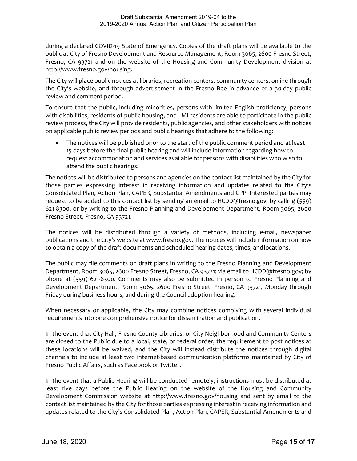public at City of Fresno Development and Resource Management, Room 3065, 2600 Fresno Street, Fresno, CA 93721 and on the website of the Housing and Community Development division at during a declared COVID-19 State of Emergency. Copies of the draft plans will be available to the [http://www.fresno.gov/housing.](http://www.fresno.gov/housing)

The City will place public notices at libraries, recreation centers, community centers, online through the City's website, and through advertisement in the Fresno Bee in advance of a 30-day public review and comment period.

 To ensure that the public, including minorities, persons with limited English proficiency, persons with disabilities, residents of public housing, and LMI residents are able to participate in the public on applicable public review periods and public hearings that adhere to the following: review process, the City will provide residents, public agencies, and other stakeholders with notices

 • The notices will be published prior to the start of the public comment period and at least 15 days before the final public hearing and will include information regarding how to request accommodation and services available for persons with disabilities who wish to attend the public hearings.

 The notices will be distributed to persons and agencies on the contact list maintained by the City for request to be added to this contact list by sending an email to [HCDD@fresno.gov](mailto:Crystal.smith@fresno.gov), by calling (559) those parties expressing interest in receiving information and updates related to the City's Consolidated Plan, Action Plan, CAPER, Substantial Amendments and CPP. Interested parties may 621-8300, or by writing to the Fresno Planning and Development Department, Room 3065, 2600 Fresno Street, Fresno, CA 93721.

 The notices will be distributed through a variety of methods, including e-mail, newspaper to obtain a copy of the draft documents and scheduled hearing dates, times, and locations. publications and the City's website at [www.fresno.gov. T](http://www.fresno.gov/)he notices will include information on how

 The public may file comments on draft plans in writing to the Fresno Planning and Development Department, Room 3065, 2600 Fresno Street, Fresno, CA 93721; via email to [HCDD@fresno.gov;](mailto:HCDD@fresno.gov) by phone at (559) 621-8300. Comments may also be submitted in person to Fresno Planning and Development Department, Room 3065, 2600 Fresno Street, Fresno, CA 93721, Monday through Friday during business hours, and during the Council adoption hearing.

 When necessary or applicable, the City may combine notices complying with several individual requirements into one comprehensive notice for dissemination and publication.

 these locations will be waived, and the City will instead distribute the notices through digital channels to include at least two internet-based communication platforms maintained by City of In the event that City Hall, Fresno County Libraries, or City Neighborhood and Community Centers are closed to the Public due to a local, state, or federal order, the requirement to post notices at Fresno Public Affairs, such as Facebook or Twitter.

In the event that a Public Hearing will be conducted remotely, instructions must be distributed at least five days before the Public Hearing on the website of the Housing and Community Development Commission website at <http://www.fresno.gov/housing>and sent by email to the contact list maintained by the City for those parties expressing interest in receiving information and updates related to the City's Consolidated Plan, Action Plan, CAPER, Substantial Amendments and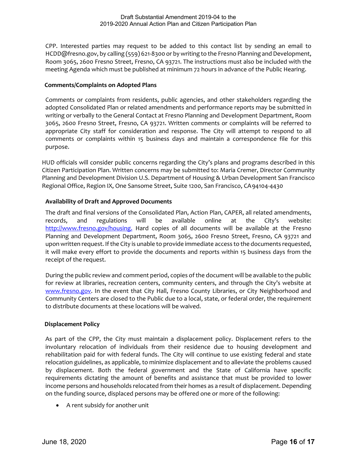Room 3065, 2600 Fresno Street, Fresno, CA 93721. The instructions must also be included with the meeting Agenda which must be published at minimum 72 hours in advance of the Public Hearing. CPP. Interested parties may request to be added to this contact list by sending an email to [HCDD@fresno.gov](mailto:HCDD@fresno.gov), by calling (559) 621-8300 or by writing to the Fresno Planning and Development,

### **Comments/Complaints on Adopted Plans**

 Comments or complaints from residents, public agencies, and other stakeholders regarding the adopted Consolidated Plan or related amendments and performance reports may be submitted in writing or verbally to the General Contact at Fresno Planning and Development Department, Room 3065, 2600 Fresno Street, Fresno, CA 93721. Written comments or complaints will be referred to appropriate City staff for consideration and response. The City will attempt to respond to all comments or complaints within 15 business days and maintain a correspondence file for this purpose.

 Regional Office, Region IX, One Sansome Street, Suite 1200, San Francisco, CA94104-4430 HUD officials will consider public concerns regarding the City's plans and programs described in this Citizen Participation Plan. Written concerns may be submitted to: Maria Cremer, Director Community Planning and Development Division U.S. Department of Housing & Urban Development San Francisco

### **Availability of Draft and Approved Documents**

 The draft and final versions of the Consolidated Plan, Action Plan, CAPER, all related amendments, [http://www.fresno.gov/housing.](http://www.fresno.gov/housing) Hard copies of all documents will be available at the Fresno upon written request. If the City is unable to provide immediate access to the documents requested, records, and regulations will be available online at the City's website: Planning and Development Department, Room 3065, 2600 Fresno Street, Fresno, CA 93721 and it will make every effort to provide the documents and reports within 15 business days from the receipt of the request.

[www.fresno.gov.](http://www.fresno.gov/) In the event that City Hall, Fresno County Libraries, or City Neighborhood and Community Centers are closed to the Public due to a local, state, or federal order, the requirement During the public review and comment period, copies of the document will be available to the public for review at libraries, recreation centers, community centers, and through the City's website at to distribute documents at these locations will be waived.

### **Displacement Policy**

 As part of the CPP, the City must maintain a displacement policy. Displacement refers to the involuntary relocation of individuals from their residence due to housing development and rehabilitation paid for with federal funds. The City will continue to use existing federal and state relocation guidelines, as applicable, to minimize displacement and to alleviate the problems caused by displacement. Both the federal government and the State of California have specific requirements dictating the amount of benefits and assistance that must be provided to lower income persons and households relocated from their homes as a result of displacement. Depending on the funding source, displaced persons may be offered one or more of the following:

• A rent subsidy for another unit